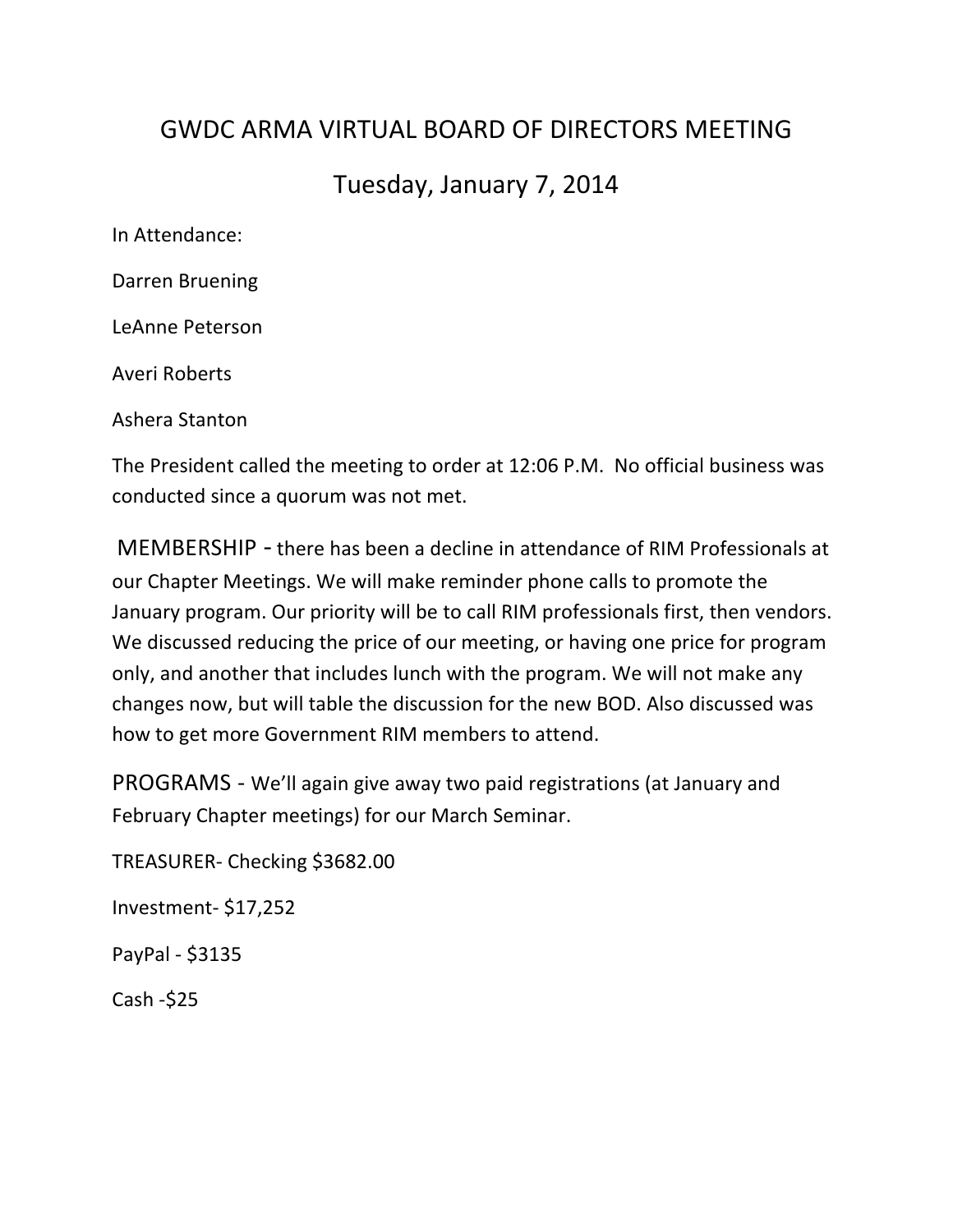## GWDC ARMA VIRTUAL BOARD OF DIRFCTORS MFFTING

## Tuesday, January 7, 2014

In Attendance:

Darren Bruening

LeAnne Peterson

Averi Roberts

Ashera Stanton

The President called the meeting to order at 12:06 P.M. No official business was conducted since a quorum was not met.

MEMBERSHIP - there has been a decline in attendance of RIM Professionals at our Chapter Meetings. We will make reminder phone calls to promote the January program. Our priority will be to call RIM professionals first, then vendors. We discussed reducing the price of our meeting, or having one price for program only, and another that includes lunch with the program. We will not make any changes now, but will table the discussion for the new BOD. Also discussed was how to get more Government RIM members to attend.

PROGRAMS - We'll again give away two paid registrations (at January and February Chapter meetings) for our March Seminar.

TREASURER- Checking \$3682.00

Investment- \$17,252

PayPal - \$3135 

 $Cash - $25$